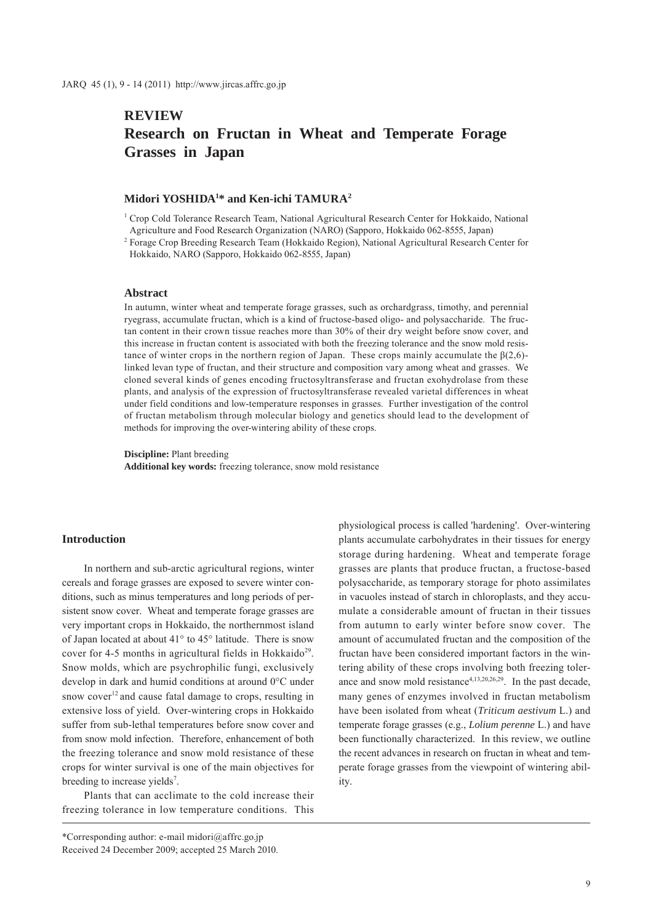# **REVIEW Research on Fructan in Wheat and Temperate Forage Grasses in Japan**

## **Midori YOSHIDA1 \* and Ken-ichi TAMURA2**

<sup>1</sup> Crop Cold Tolerance Research Team, National Agricultural Research Center for Hokkaido, National Agriculture and Food Research Organization (NARO) (Sapporo, Hokkaido 062-8555, Japan)

2 Forage Crop Breeding Research Team (Hokkaido Region), National Agricultural Research Center for Hokkaido, NARO (Sapporo, Hokkaido 062-8555, Japan)

### **Abstract**

In autumn, winter wheat and temperate forage grasses, such as orchardgrass, timothy, and perennial ryegrass, accumulate fructan, which is a kind of fructose-based oligo- and polysaccharide. The fructan content in their crown tissue reaches more than 30% of their dry weight before snow cover, and this increase in fructan content is associated with both the freezing tolerance and the snow mold resistance of winter crops in the northern region of Japan. These crops mainly accumulate the  $\beta(2,6)$ linked levan type of fructan, and their structure and composition vary among wheat and grasses. We cloned several kinds of genes encoding fructosyltransferase and fructan exohydrolase from these plants, and analysis of the expression of fructosyltransferase revealed varietal differences in wheat under field conditions and low-temperature responses in grasses. Further investigation of the control of fructan metabolism through molecular biology and genetics should lead to the development of methods for improving the over-wintering ability of these crops.

**Discipline:** Plant breeding **Additional key words:** freezing tolerance, snow mold resistance

# **Introduction**

In northern and sub-arctic agricultural regions, winter cereals and forage grasses are exposed to severe winter conditions, such as minus temperatures and long periods of persistent snow cover. Wheat and temperate forage grasses are very important crops in Hokkaido, the northernmost island of Japan located at about 41° to 45° latitude. There is snow cover for 4-5 months in agricultural fields in Hokkaido<sup>29</sup>. Snow molds, which are psychrophilic fungi, exclusively develop in dark and humid conditions at around 0°C under snow cover<sup>12</sup> and cause fatal damage to crops, resulting in extensive loss of yield. Over-wintering crops in Hokkaido suffer from sub-lethal temperatures before snow cover and from snow mold infection. Therefore, enhancement of both the freezing tolerance and snow mold resistance of these crops for winter survival is one of the main objectives for breeding to increase yields<sup>7</sup>.

Plants that can acclimate to the cold increase their freezing tolerance in low temperature conditions. This

physiological process is called 'hardening'. Over-wintering plants accumulate carbohydrates in their tissues for energy storage during hardening. Wheat and temperate forage grasses are plants that produce fructan, a fructose-based polysaccharide, as temporary storage for photo assimilates in vacuoles instead of starch in chloroplasts, and they accumulate a considerable amount of fructan in their tissues from autumn to early winter before snow cover. The amount of accumulated fructan and the composition of the fructan have been considered important factors in the wintering ability of these crops involving both freezing tolerance and snow mold resistance<sup> $4,13,20,26,29$ </sup>. In the past decade, many genes of enzymes involved in fructan metabolism have been isolated from wheat (*Triticum aestivum* L.) and temperate forage grasses (e.g., *Lolium perenne* L.) and have been functionally characterized. In this review, we outline the recent advances in research on fructan in wheat and temperate forage grasses from the viewpoint of wintering ability.

<sup>\*</sup>Corresponding author: e-mail midori@affrc.go.jp Received 24 December 2009; accepted 25 March 2010.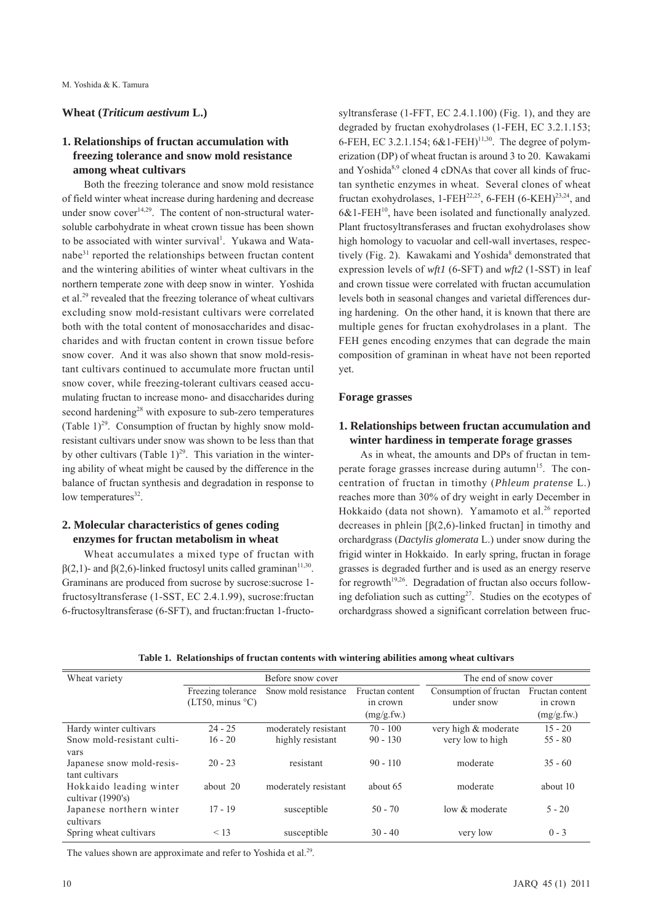## **Wheat (***Triticum aestivum* **L.)**

# **1. Relationships of fructan accumulation with freezing tolerance and snow mold resistance among wheat cultivars**

Both the freezing tolerance and snow mold resistance of field winter wheat increase during hardening and decrease under snow  $cover^{14,29}$ . The content of non-structural watersoluble carbohydrate in wheat crown tissue has been shown to be associated with winter survival<sup>1</sup>. Yukawa and Watanabe31 reported the relationships between fructan content and the wintering abilities of winter wheat cultivars in the northern temperate zone with deep snow in winter. Yoshida et al.29 revealed that the freezing tolerance of wheat cultivars excluding snow mold-resistant cultivars were correlated both with the total content of monosaccharides and disaccharides and with fructan content in crown tissue before snow cover. And it was also shown that snow mold-resistant cultivars continued to accumulate more fructan until snow cover, while freezing-tolerant cultivars ceased accumulating fructan to increase mono- and disaccharides during second hardening<sup>28</sup> with exposure to sub-zero temperatures (Table  $1)^{29}$ . Consumption of fructan by highly snow moldresistant cultivars under snow was shown to be less than that by other cultivars (Table 1)<sup>29</sup>. This variation in the wintering ability of wheat might be caused by the difference in the balance of fructan synthesis and degradation in response to low temperatures<sup>32</sup>.

# **2. Molecular characteristics of genes coding enzymes for fructan metabolism in wheat**

Wheat accumulates a mixed type of fructan with  $β(2,1)$ - and  $β(2,6)$ -linked fructosyl units called graminan<sup>11,30</sup>. Graminans are produced from sucrose by sucrose:sucrose 1 fructosyltransferase (1-SST, EC 2.4.1.99), sucrose:fructan 6-fructosyltransferase (6-SFT), and fructan:fructan 1-fructo-

syltransferase (1-FFT, EC 2.4.1.100) (Fig. 1), and they are degraded by fructan exohydrolases (1-FEH, EC 3.2.1.153; 6-FEH, EC 3.2.1.154;  $6&1$ -FEH)<sup>11,30</sup>. The degree of polymerization (DP) of wheat fructan is around 3 to 20. Kawakami and Yoshida $8,9$  cloned 4 cDNAs that cover all kinds of fructan synthetic enzymes in wheat. Several clones of wheat fructan exohydrolases, 1-FEH<sup>22,25</sup>, 6-FEH (6-KEH)<sup>23,24</sup>, and  $6&1\text{-}FEH^{10}$ , have been isolated and functionally analyzed. Plant fructosyltransferases and fructan exohydrolases show high homology to vacuolar and cell-wall invertases, respectively (Fig. 2). Kawakami and Yoshida<sup>8</sup> demonstrated that expression levels of *wft1* (6-SFT) and *wft2* (1-SST) in leaf and crown tissue were correlated with fructan accumulation levels both in seasonal changes and varietal differences during hardening. On the other hand, it is known that there are multiple genes for fructan exohydrolases in a plant. The FEH genes encoding enzymes that can degrade the main composition of graminan in wheat have not been reported yet.

# **Forage grasses**

# **1. Relationships between fructan accumulation and winter hardiness in temperate forage grasses**

As in wheat, the amounts and DPs of fructan in temperate forage grasses increase during autumn<sup>15</sup>. The concentration of fructan in timothy (*Phleum pratense* L.) reaches more than 30% of dry weight in early December in Hokkaido (data not shown). Yamamoto et al.<sup>26</sup> reported decreases in phlein  $\lceil \beta(2,6) - \text{linked } \text{fructan} \rceil$  in timothy and orchardgrass (*Dactylis glomerata* L.) under snow during the frigid winter in Hokkaido. In early spring, fructan in forage grasses is degraded further and is used as an energy reserve for regrowth<sup>19,26</sup>. Degradation of fructan also occurs following defoliation such as cutting<sup>27</sup>. Studies on the ecotypes of orchardgrass showed a significant correlation between fruc-

|  |  |  |  |  |  | Table 1. Relationships of fructan contents with wintering abilities among wheat cultivars |
|--|--|--|--|--|--|-------------------------------------------------------------------------------------------|
|--|--|--|--|--|--|-------------------------------------------------------------------------------------------|

| Wheat variety                                        | Before snow cover                      |                                          |                                           | The end of snow cover                    |                                           |
|------------------------------------------------------|----------------------------------------|------------------------------------------|-------------------------------------------|------------------------------------------|-------------------------------------------|
|                                                      | Freezing tolerance<br>(LT50, minus °C) | Snow mold resistance                     | Fructan content<br>in crown<br>(mg/g.fw.) | Consumption of fructan<br>under snow     | Fructan content<br>in crown<br>(mg/g.fw.) |
| Hardy winter cultivars<br>Snow mold-resistant culti- | $24 - 25$<br>$16 - 20$                 | moderately resistant<br>highly resistant | $70 - 100$<br>$90 - 130$                  | very high & moderate<br>very low to high | $15 - 20$<br>$55 - 80$                    |
| vars<br>Japanese snow mold-resis-<br>tant cultivars  | $20 - 23$                              | resistant                                | $90 - 110$                                | moderate                                 | $35 - 60$                                 |
| Hokkaido leading winter<br>cultivar $(1990's)$       | about 20                               | moderately resistant                     | about 65                                  | moderate                                 | about 10                                  |
| Japanese northern winter<br>cultivars                | $17 - 19$                              | susceptible                              | $50 - 70$                                 | low & moderate                           | $5 - 20$                                  |
| Spring wheat cultivars                               | < 13                                   | susceptible                              | $30 - 40$                                 | very low                                 | $0 - 3$                                   |

The values shown are approximate and refer to Yoshida et al.<sup>29</sup>.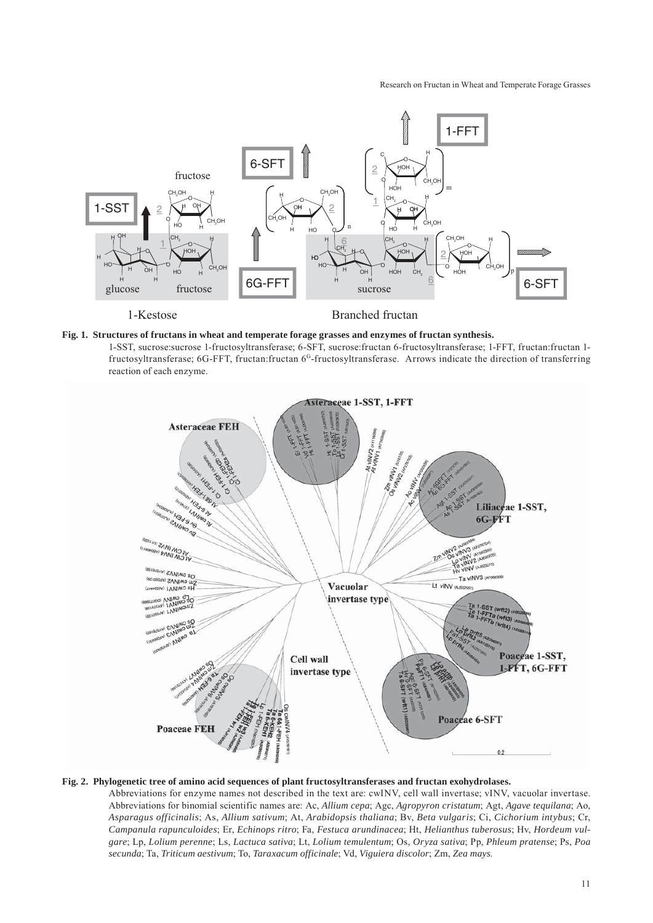#### Research on Fructan in Wheat and Temperate Forage Grasses



### **Fig. 1. Structures of fructans in wheat and temperate forage grasses and enzymes of fructan synthesis.**

1-SST, sucrose:sucrose 1-fructosyltransferase; 6-SFT, sucrose:fructan 6-fructosyltransferase; 1-FFT, fructan:fructan 1 fructosyltransferase; 6G-FFT, fructan:fructan 6G-fructosyltransferase. Arrows indicate the direction of transferring reaction of each enzyme.



### **Fig. 2. Phylogenetic tree of amino acid sequences of plant fructosyltransferases and fructan exohydrolases.**

Abbreviations for enzyme names not described in the text are: cwINV, cell wall invertase; vINV, vacuolar invertase. Abbreviations for binomial scientific names are: Ac, *Allium cepa*; Agc, *Agropyron cristatum*; Agt, *Agave tequilana*; Ao, *Asparagus officinalis*; As, *Allium sativum*; At, *Arabidopsis thaliana*; Bv, *Beta vulgaris*; Ci, *Cichorium intybus*; Cr, *Campanula rapunculoides*; Er, *Echinops ritro*; Fa, *Festuca arundinacea*; Ht, *Helianthus tuberosus*; Hv, *Hordeum vulgare*; Lp, *Lolium perenne*; Ls, *Lactuca sativa*; Lt, *Lolium temulentum*; Os, *Oryza sativa*; Pp, *Phleum pratense*; Ps, *Poa secunda*; Ta, *Triticum aestivum*; To, *Taraxacum officinale*; Vd, *Viguiera discolor*; Zm, *Zea mays*.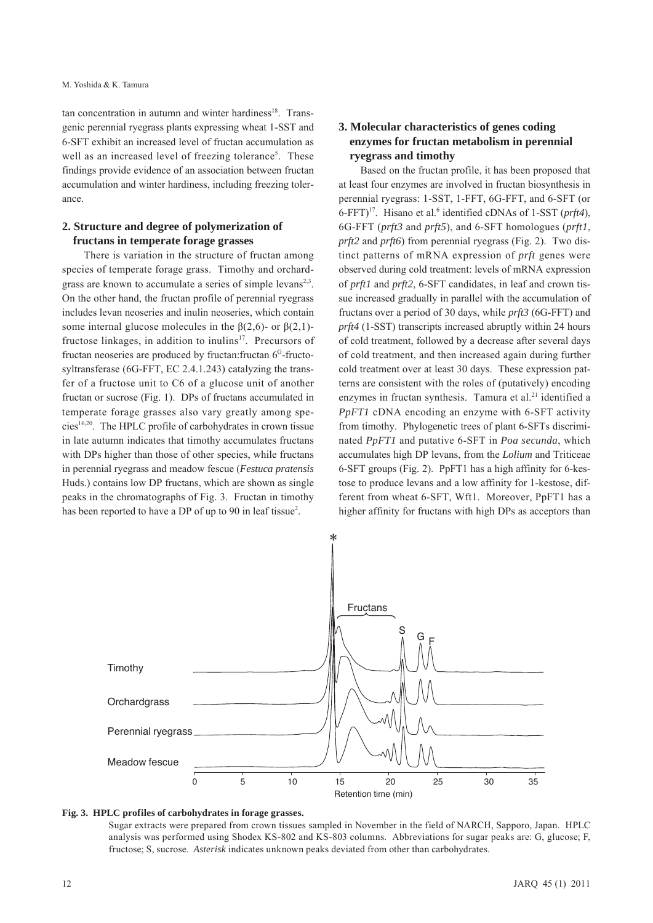tan concentration in autumn and winter hardiness<sup>18</sup>. Transgenic perennial ryegrass plants expressing wheat 1-SST and 6-SFT exhibit an increased level of fructan accumulation as well as an increased level of freezing tolerance<sup>5</sup>. These findings provide evidence of an association between fructan accumulation and winter hardiness, including freezing tolerance.

# **2. Structure and degree of polymerization of fructans in temperate forage grasses**

There is variation in the structure of fructan among species of temperate forage grass. Timothy and orchardgrass are known to accumulate a series of simple levans $2,3$ . On the other hand, the fructan profile of perennial ryegrass includes levan neoseries and inulin neoseries, which contain some internal glucose molecules in the  $\beta(2,6)$ - or  $\beta(2,1)$ fructose linkages, in addition to inulins<sup>17</sup>. Precursors of fructan neoseries are produced by fructan: fructan 6<sup>G</sup>-fructosyltransferase (6G-FFT, EC 2.4.1.243) catalyzing the transfer of a fructose unit to C6 of a glucose unit of another fructan or sucrose (Fig. 1). DPs of fructans accumulated in temperate forage grasses also vary greatly among species<sup>16,20</sup>. The HPLC profile of carbohydrates in crown tissue in late autumn indicates that timothy accumulates fructans with DPs higher than those of other species, while fructans in perennial ryegrass and meadow fescue (*Festuca pratensis* Huds.) contains low DP fructans, which are shown as single peaks in the chromatographs of Fig. 3. Fructan in timothy has been reported to have a DP of up to 90 in leaf tissue<sup>2</sup>.

# **3. Molecular characteristics of genes coding enzymes for fructan metabolism in perennial ryegrass and timothy**

Based on the fructan profile, it has been proposed that at least four enzymes are involved in fructan biosynthesis in perennial ryegrass: 1-SST, 1-FFT, 6G-FFT, and 6-SFT (or 6-FFT)<sup>17</sup>. Hisano et al.<sup>6</sup> identified cDNAs of 1-SST (*prft4*), 6G-FFT (*prft3* and *prft5*), and 6-SFT homologues (*prft1*, *prft2* and *prft6*) from perennial ryegrass (Fig. 2). Two distinct patterns of mRNA expression of *prft* genes were observed during cold treatment: levels of mRNA expression of *prft1* and *prft2*, 6-SFT candidates, in leaf and crown tissue increased gradually in parallel with the accumulation of fructans over a period of 30 days, while *prft3* (6G-FFT) and *prft4* (1-SST) transcripts increased abruptly within 24 hours of cold treatment, followed by a decrease after several days of cold treatment, and then increased again during further cold treatment over at least 30 days. These expression patterns are consistent with the roles of (putatively) encoding enzymes in fructan synthesis. Tamura et al.<sup>21</sup> identified a *PpFT1* cDNA encoding an enzyme with 6-SFT activity from timothy. Phylogenetic trees of plant 6-SFTs discriminated *PpFT1* and putative 6-SFT in *Poa secunda*, which accumulates high DP levans, from the *Lolium* and Triticeae 6-SFT groups (Fig. 2). PpFT1 has a high affinity for 6-kestose to produce levans and a low affinity for 1-kestose, different from wheat 6-SFT, Wft1. Moreover, PpFT1 has a higher affinity for fructans with high DPs as acceptors than



### **Fig. 3. HPLC profiles of carbohydrates in forage grasses.**

Sugar extracts were prepared from crown tissues sampled in November in the field of NARCH, Sapporo, Japan. HPLC analysis was performed using Shodex KS-802 and KS-803 columns. Abbreviations for sugar peaks are: G, glucose; F, fructose; S, sucrose. *Asterisk* indicates unknown peaks deviated from other than carbohydrates.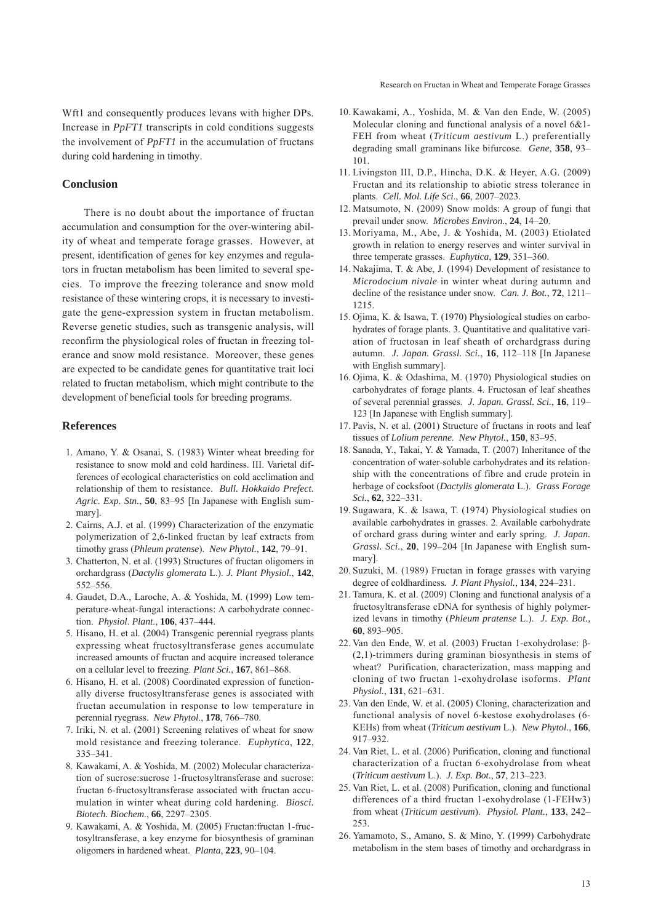Research on Fructan in Wheat and Temperate Forage Grasses

Wft1 and consequently produces levans with higher DPs. Increase in *PpFT1* transcripts in cold conditions suggests the involvement of *PpFT1* in the accumulation of fructans during cold hardening in timothy.

### **Conclusion**

There is no doubt about the importance of fructan accumulation and consumption for the over-wintering ability of wheat and temperate forage grasses. However, at present, identification of genes for key enzymes and regulators in fructan metabolism has been limited to several species. To improve the freezing tolerance and snow mold resistance of these wintering crops, it is necessary to investigate the gene-expression system in fructan metabolism. Reverse genetic studies, such as transgenic analysis, will reconfirm the physiological roles of fructan in freezing tolerance and snow mold resistance. Moreover, these genes are expected to be candidate genes for quantitative trait loci related to fructan metabolism, which might contribute to the development of beneficial tools for breeding programs.

### **References**

- 1. Amano, Y. & Osanai, S. (1983) Winter wheat breeding for resistance to snow mold and cold hardiness. III. Varietal differences of ecological characteristics on cold acclimation and relationship of them to resistance. *Bull. Hokkaido Prefect. Agric. Exp. Stn.*, **50**, 83–95 [In Japanese with English summary].
- 2. Cairns, A.J. et al. (1999) Characterization of the enzymatic polymerization of 2,6-linked fructan by leaf extracts from timothy grass (*Phleum pratense*). *New Phytol.*, **142**, 79–91.
- 3. Chatterton, N. et al. (1993) Structures of fructan oligomers in orchardgrass (*Dactylis glomerata* L.). *J. Plant Physiol.*, **142**, 552–556.
- 4. Gaudet, D.A., Laroche, A. & Yoshida, M. (1999) Low temperature-wheat-fungal interactions: A carbohydrate connection. *Physiol*. *Plant*., **106**, 437–444.
- 5. Hisano, H. et al. (2004) Transgenic perennial ryegrass plants expressing wheat fructosyltransferase genes accumulate increased amounts of fructan and acquire increased tolerance on a cellular level to freezing. *Plant Sci.*, **167**, 861–868.
- 6. Hisano, H. et al. (2008) Coordinated expression of functionally diverse fructosyltransferase genes is associated with fructan accumulation in response to low temperature in perennial ryegrass. *New Phytol*., **178**, 766–780.
- 7. Iriki, N. et al. (2001) Screening relatives of wheat for snow mold resistance and freezing tolerance. *Euphytica*, **122**, 335–341.
- 8. Kawakami, A. & Yoshida, M. (2002) Molecular characterization of sucrose:sucrose 1-fructosyltransferase and sucrose: fructan 6-fructosyltransferase associated with fructan accumulation in winter wheat during cold hardening. *Biosci. Biotech. Biochem*., **66**, 2297–2305.
- 9. Kawakami, A. & Yoshida, M. (2005) Fructan:fructan 1-fructosyltransferase, a key enzyme for biosynthesis of graminan oligomers in hardened wheat. *Planta*, **223**, 90–104.
- 10. Kawakami, A., Yoshida, M. & Van den Ende, W. (2005) Molecular cloning and functional analysis of a novel 6&1- FEH from wheat (*Triticum aestivum* L.) preferentially degrading small graminans like bifurcose. *Gene*, **358**, 93– 101.
- 11. Livingston III, D.P., Hincha, D.K. & Heyer, A.G. (2009) Fructan and its relationship to abiotic stress tolerance in plants. *Cell. Mol. Life Sci*., **66**, 2007–2023.
- 12. Matsumoto, N. (2009) Snow molds: A group of fungi that prevail under snow. *Microbes Environ*., **24**, 14–20.
- 13. Moriyama, M., Abe, J. & Yoshida, M. (2003) Etiolated growth in relation to energy reserves and winter survival in three temperate grasses. *Euphytica*, **129**, 351–360.
- 14. Nakajima, T. & Abe, J. (1994) Development of resistance to *Microdocium nivale* in winter wheat during autumn and decline of the resistance under snow. *Can. J. Bot.*, **72**, 1211– 1215.
- 15. Ojima, K. & Isawa, T. (1970) Physiological studies on carbohydrates of forage plants. 3. Quantitative and qualitative variation of fructosan in leaf sheath of orchardgrass during autumn. *J. Japan. Grassl. Sci.*, **16**, 112–118 [In Japanese with English summary].
- 16. Ojima, K. & Odashima, M. (1970) Physiological studies on carbohydrates of forage plants. 4. Fructosan of leaf sheathes of several perennial grasses. *J. Japan. Grassl. Sci.*, **16**, 119– 123 [In Japanese with English summary].
- 17. Pavis, N. et al. (2001) Structure of fructans in roots and leaf tissues of *Lolium perenne*. *New Phytol.*, **150**, 83–95.
- 18. Sanada, Y., Takai, Y. & Yamada, T. (2007) Inheritance of the concentration of water-soluble carbohydrates and its relationship with the concentrations of fibre and crude protein in herbage of cocksfoot (*Dactylis glomerata* L.). *Grass Forage Sci.*, **62**, 322–331.
- 19. Sugawara, K. & Isawa, T. (1974) Physiological studies on available carbohydrates in grasses. 2. Available carbohydrate of orchard grass during winter and early spring. *J. Japan. Grassl. Sci.*, **20**, 199–204 [In Japanese with English summary].
- 20. Suzuki, M. (1989) Fructan in forage grasses with varying degree of coldhardiness*. J. Plant Physiol.*, **134**, 224–231.
- 21. Tamura, K. et al. (2009) Cloning and functional analysis of a fructosyltransferase cDNA for synthesis of highly polymerized levans in timothy (*Phleum pratense* L.). *J. Exp. Bot.,* **60**, 893–905.
- 22. Van den Ende, W. et al. (2003) Fructan 1-exohydrolase: β- (2,1)-trimmers during graminan biosynthesis in stems of wheat? Purification, characterization, mass mapping and cloning of two fructan 1-exohydrolase isoforms. *Plant Physiol.*, **131**, 621–631.
- 23. Van den Ende, W. et al. (2005) Cloning, characterization and functional analysis of novel 6-kestose exohydrolases (6- KEHs) from wheat (*Triticum aestivum* L.). *New Phytol.*, **166**, 917–932.
- 24. Van Riet, L. et al. (2006) Purification, cloning and functional characterization of a fructan 6-exohydrolase from wheat (*Triticum aestivum* L.). *J. Exp. Bot.*, **57**, 213–223.
- 25. Van Riet, L. et al. (2008) Purification, cloning and functional differences of a third fructan 1-exohydrolase (1-FEHw3) from wheat (*Triticum aestivum*). *Physiol. Plant.*, **133**, 242– 253.
- 26. Yamamoto, S., Amano, S. & Mino, Y. (1999) Carbohydrate metabolism in the stem bases of timothy and orchardgrass in